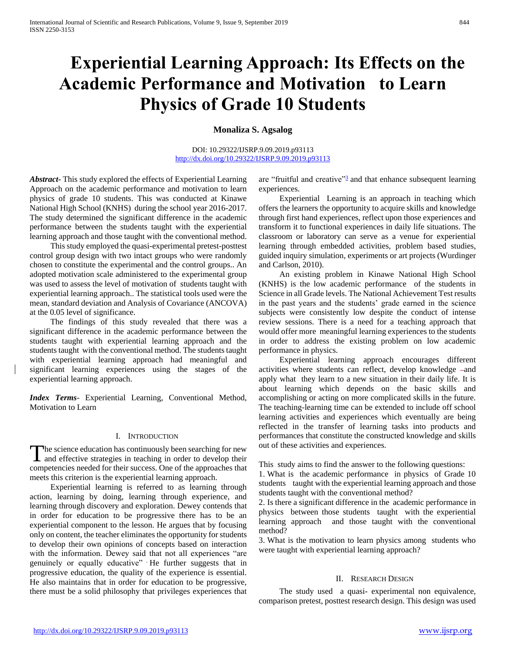# **Experiential Learning Approach: Its Effects on the Academic Performance and Motivation to Learn Physics of Grade 10 Students**

**Monaliza S. Agsalog**

DOI: 10.29322/IJSRP.9.09.2019.p93113 <http://dx.doi.org/10.29322/IJSRP.9.09.2019.p93113>

*Abstract***-** This study explored the effects of Experiential Learning Approach on the academic performance and motivation to learn physics of grade 10 students. This was conducted at Kinawe National High School (KNHS) during the school year 2016-2017. The study determined the significant difference in the academic performance between the students taught with the experiential learning approach and those taught with the conventional method.

 This study employed the quasi-experimental pretest-posttest control group design with two intact groups who were randomly chosen to constitute the experimental and the control groups.. An adopted motivation scale administered to the experimental group was used to assess the level of motivation of students taught with experiential learning approach.. The statistical tools used were the mean, standard deviation and Analysis of Covariance (ANCOVA) at the 0.05 level of significance.

 The findings of this study revealed that there was a significant difference in the academic performance between the students taught with experiential learning approach and the students taught with the conventional method. The students taught with experiential learning approach had meaningful and significant learning experiences using the stages of the experiential learning approach.

*Index Terms*- Experiential Learning, Conventional Method, Motivation to Learn

### I. INTRODUCTION

The science education has continuously been searching for new The science education has continuously been searching for new<br>and effective strategies in teaching in order to develop their competencies needed for their success. One of the approaches that meets this criterion is the experiential learning approach.

 Experiential learning is referred to as learning through action, learning by doing, learning through experience, and learning through discovery and exploration. Dewey contends that in order for education to be progressive there has to be an experiential component to the lesson. He argues that by focusing only on content, the teacher eliminates the opportunity for students to develop their own opinions of concepts based on interaction with the information. Dewey said that not all experiences "are genuinely or equally educative" . He further suggests that in progressive education, the quality of the experience is essential. He also maintains that in order for education to be progressive, there must be a solid philosophy that privileges experiences that

are ["](http://www.learnnc.org/lp/pages/4967#note3)fruitful and creative"<sup>3</sup> and that enhance subsequent learning experiences.

 Experiential Learning is an approach in teaching which offers the learners the opportunity to acquire skills and knowledge through first hand experiences, reflect upon those experiences and transform it to functional experiences in daily life situations. The classroom or laboratory can serve as a venue for experiential learning through embedded activities, problem based studies, guided inquiry simulation, experiments or art projects (Wurdinger and Carlson, 2010).

 An existing problem in Kinawe National High School (KNHS) is the low academic performance of the students in Science in all Grade levels. The National Achievement Test results in the past years and the students' grade earned in the science subjects were consistently low despite the conduct of intense review sessions. There is a need for a teaching approach that would offer more meaningful learning experiences to the students in order to address the existing problem on low academic performance in physics.

 Experiential learning approach encourages different activities where students can reflect, develop knowledge -and apply what they learn to a new situation in their daily life. It is about learning which depends on the basic skills and accomplishing or acting on more complicated skills in the future. The teaching-learning time can be extended to include off school learning activities and experiences which eventually are being reflected in the transfer of learning tasks into products and performances that constitute the constructed knowledge and skills out of these activities and experiences.

This study aims to find the answer to the following questions:

1. What is the academic performance in physics of Grade 10 students taught with the experiential learning approach and those students taught with the conventional method?

2. Is there a significant difference in the academic performance in physics between those students taught with the experiential learning approach and those taught with the conventional method?

3. What is the motivation to learn physics among students who were taught with experiential learning approach?

### II. RESEARCH DESIGN

 The study used a quasi- experimental non equivalence, comparison pretest, posttest research design. This design was used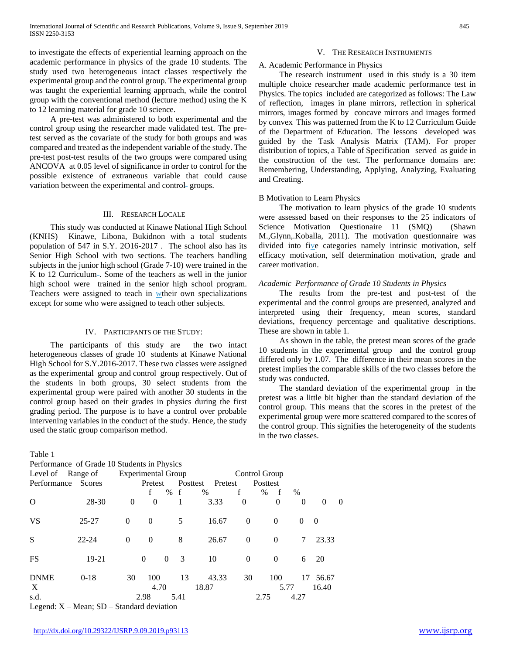to investigate the effects of experiential learning approach on the academic performance in physics of the grade 10 students. The study used two heterogeneous intact classes respectively the experimental group and the control group. The experimental group was taught the experiential learning approach, while the control group with the conventional method (lecture method) using the K to 12 learning material for grade 10 science.

 A pre-test was administered to both experimental and the control group using the researcher made validated test. The pretest served as the covariate of the study for both groups and was compared and treated as the independent variable of the study. The pre-test post-test results of the two groups were compared using ANCOVA at 0.05 level of significance in order to control for the possible existence of extraneous variable that could cause variation between the experimental and control-groups.

## III. RESEARCH LOCALE

 This study was conducted at Kinawe National High School (KNHS) Kinawe, Libona, Bukidnon with a total students population of 547 in S.Y. 2O16-2017 . The school also has its Senior High School with two sections. The teachers handling subjects in the junior high school (Grade 7-10) were trained in the K to 12 Curriculum -. Some of the teachers as well in the junior high school were trained in the senior high school program. Teachers were assigned to teach in wtheir own specializations except for some who were assigned to teach other subjects.

#### IV. PARTICIPANTS OF THE STUDY:

 The participants of this study are the two intact heterogeneous classes of grade 10 students at Kinawe National High School for S.Y.2016-2017. These two classes were assigned as the experimental group and control group respectively. Out of the students in both groups, 30 select students from the experimental group were paired with another 30 students in the control group based on their grades in physics during the first grading period. The purpose is to have a control over probable intervening variables in the conduct of the study. Hence, the study used the static group comparison method.

Table 1  $P_{\text{e}}$  de  $P_{\text{e}}$  Charles in Physics in Physics

| Performance of Grade To Students in Physics                                                                                                                                                                                                                                                              |           |                           |          |                              |       |          |              |          |          |          |
|----------------------------------------------------------------------------------------------------------------------------------------------------------------------------------------------------------------------------------------------------------------------------------------------------------|-----------|---------------------------|----------|------------------------------|-------|----------|--------------|----------|----------|----------|
| Level of Range of                                                                                                                                                                                                                                                                                        |           | <b>Experimental Group</b> |          |                              |       |          |              |          |          |          |
| Performance Scores                                                                                                                                                                                                                                                                                       |           | Pretest                   |          | Posttest Pretest<br>Posttest |       |          |              |          |          |          |
|                                                                                                                                                                                                                                                                                                          |           |                           | f        | % f                          | %     | f        | $-f$<br>$\%$ | %        |          |          |
| $\Omega$                                                                                                                                                                                                                                                                                                 | 28-30     | $\theta$                  | $\theta$ | 1                            | 3.33  | $\theta$ | $\theta$     | $\theta$ | $\theta$ | $\theta$ |
| <b>VS</b>                                                                                                                                                                                                                                                                                                | $25 - 27$ | $\theta$                  | $\theta$ | 5                            | 16.67 | $\theta$ | $\theta$     | $\theta$ | $\theta$ |          |
| S                                                                                                                                                                                                                                                                                                        | $22 - 24$ | $\theta$                  | $\Omega$ | 8                            | 26.67 | $\theta$ | $\Omega$     | 7        | 23.33    |          |
| <b>FS</b>                                                                                                                                                                                                                                                                                                | $19-21$   |                           | $\Omega$ | $\overline{3}$<br>$\theta$   | 10    | $\Omega$ | $\Omega$     | 6        | 20       |          |
| <b>DNME</b>                                                                                                                                                                                                                                                                                              | $0-18$    | 30                        | 100      | 13                           | 43.33 | 30       | 100          | 17       | 56.67    |          |
| $\mathbf{X}$                                                                                                                                                                                                                                                                                             |           |                           | 4.70     |                              | 18.87 |          | 5.77         |          | 16.40    |          |
| s.d.<br>$\mathbf{I}$ and $\mathbf{I}$ and $\mathbf{V}$ and $\mathbf{A}$ are $\mathbf{C}$ and $\mathbf{A}$ and $\mathbf{I}$ and $\mathbf{I}$ and $\mathbf{I}$ and $\mathbf{I}$ and $\mathbf{I}$ and $\mathbf{I}$ and $\mathbf{I}$ and $\mathbf{I}$ and $\mathbf{I}$ and $\mathbf{I}$ and $\mathbf{I}$ and |           |                           | 2.98     | 5.41                         |       |          | 2.75         | 4.27     |          |          |
|                                                                                                                                                                                                                                                                                                          |           |                           |          |                              |       |          |              |          |          |          |

Legend:  $X - Mean$ ;  $SD - Standard deviation$ 

#### V. THE RESEARCH INSTRUMENTS

#### A. Academic Performance in Physics

 The research instrument used in this study is a 30 item multiple choice researcher made academic performance test in Physics. The topics included are categorized as follows: The Law of reflection, images in plane mirrors, reflection in spherical mirrors, images formed by concave mirrors and images formed by convex This was patterned from the K to 12 Curriculum Guide of the Department of Education. The lessons developed was guided by the Task Analysis Matrix (TAM). For proper distribution of topics, a Table of Specification served as guide in the construction of the test. The performance domains are: Remembering, Understanding, Applying, Analyzing, Evaluating and Creating.

#### B Motivation to Learn Physics

 The motivation to learn physics of the grade 10 students were assessed based on their responses to the 25 indicators of Science Motivation Questionaire 11 (SMQ) (Shawn M.,Glynn,.Koballa, 2011). The motivation questionnaire was divided into five categories namely intrinsic motivation, self efficacy motivation, self determination motivation, grade and career motivation.

### *Academic Performance of Grade 10 Students in Physics*

 The results from the pre-test and post-test of the experimental and the control groups are presented, analyzed and interpreted using their frequency, mean scores, standard deviations, frequency percentage and qualitative descriptions. These are shown in table 1.

 As shown in the table, the pretest mean scores of the grade 10 students in the experimental group and the control group differed only by 1.07. The difference in their mean scores in the pretest implies the comparable skills of the two classes before the study was conducted.

 The standard deviation of the experimental group in the pretest was a little bit higher than the standard deviation of the control group. This means that the scores in the pretest of the experimental group were more scattered compared to the scores of the control group. This signifies the heterogeneity of the students in the two classes.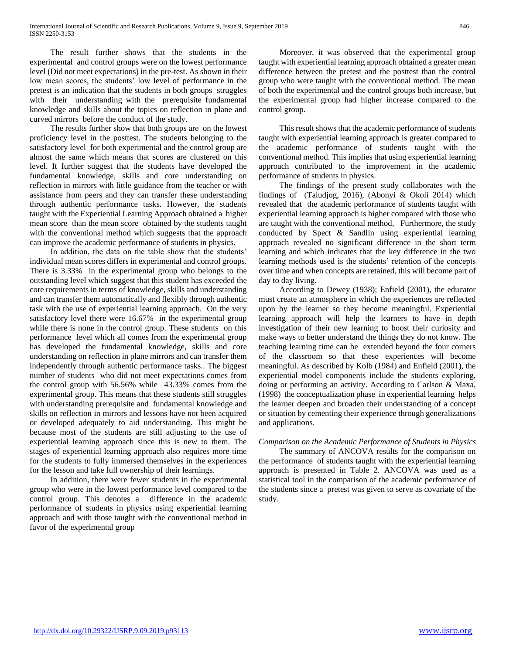The result further shows that the students in the experimental and control groups were on the lowest performance level (Did not meet expectations) in the pre-test. As shown in their low mean scores, the students' low level of performance in the pretest is an indication that the students in both groups struggles with their understanding with the prerequisite fundamental knowledge and skills about the topics on reflection in plane and curved mirrors before the conduct of the study.

 The results further show that both groups are on the lowest proficiency level in the posttest. The students belonging to the satisfactory level for both experimental and the control group are almost the same which means that scores are clustered on this level. It further suggest that the students have developed the fundamental knowledge, skills and core understanding on reflection in mirrors with little guidance from the teacher or with assistance from peers and they can transfer these understanding through authentic performance tasks. However, the students taught with the Experiential Learning Approach obtained a higher mean score than the mean score obtained by the students taught with the conventional method which suggests that the approach can improve the academic performance of students in physics.

 In addition, the data on the table show that the students' individual mean scores differs in experimental and control groups. There is 3.33% in the experimental group who belongs to the outstanding level which suggest that this student has exceeded the core requirements in terms of knowledge, skills and understanding and can transfer them automatically and flexibly through authentic task with the use of experiential learning approach. On the very satisfactory level there were 16.67% in the experimental group while there is none in the control group. These students on this performance level which all comes from the experimental group has developed the fundamental knowledge, skills and core understanding on reflection in plane mirrors and can transfer them independently through authentic performance tasks.. The biggest number of students who did not meet expectations comes from the control group with 56.56% while 43.33% comes from the experimental group. This means that these students still struggles with understanding prerequisite and fundamental knowledge and skills on reflection in mirrors and lessons have not been acquired or developed adequately to aid understanding. This might be because most of the students are still adjusting to the use of experiential learning approach since this is new to them. The stages of experiential learning approach also requires more time for the students to fully immersed themselves in the experiences for the lesson and take full ownership of their learnings.

 In addition, there were fewer students in the experimental group who were in the lowest performance level compared to the control group. This denotes a difference in the academic performance of students in physics using experiential learning approach and with those taught with the conventional method in favor of the experimental group

 Moreover, it was observed that the experimental group taught with experiential learning approach obtained a greater mean difference between the pretest and the posttest than the control group who were taught with the conventional method. The mean of both the experimental and the control groups both increase, but the experimental group had higher increase compared to the control group.

 This result shows that the academic performance of students taught with experiential learning approach is greater compared to the academic performance of students taught with the conventional method. This implies that using experiential learning approach contributed to the improvement in the academic performance of students in physics.

 The findings of the present study collaborates with the findings of (Taludjog, 2016), (Abonyi & Okoli 2014) which revealed that the academic performance of students taught with experiential learning approach is higher compared with those who are taught with the conventional method, Furthermore, the study conducted by Spect & Sandlin using experiential learning approach revealed no significant difference in the short term learning and which indicates that the key difference in the two learning methods used is the students' retention of the concepts over time and when concepts are retained, this will become part of day to day living.

 According to Dewey (1938); Enfield (2001), the educator must create an atmosphere in which the experiences are reflected upon by the learner so they become meaningful. Experiential learning approach will help the learners to have in depth investigation of their new learning to boost their curiosity and make ways to better understand the things they do not know. The teaching learning time can be extended beyond the four corners of the classroom so that these experiences will become meaningful. As described by Kolb (1984) and Enfield (2001), the experiential model components include the students exploring, doing or performing an activity. According to Carlson & Maxa, (1998) the conceptualization phase in experiential learning helps the learner deepen and broaden their understanding of a concept or situation by cementing their experience through generalizations and applications.

# *Comparison on the Academic Performance of Students in Physics*

 The summary of ANCOVA results for the comparison on the performance of students taught with the experiential learning approach is presented in Table 2. ANCOVA was used as a statistical tool in the comparison of the academic performance of the students since a pretest was given to serve as covariate of the study.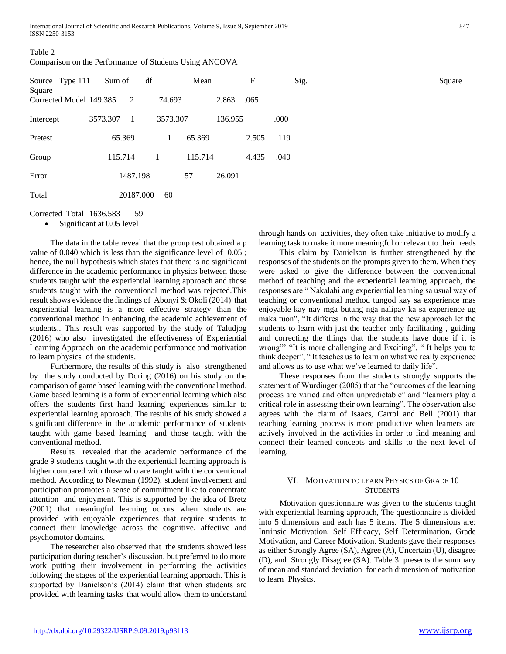| Table 2                                                |  |
|--------------------------------------------------------|--|
| Comparison on the Performance of Students Using ANCOVA |  |

| Source Type 111<br>Square |          | Sum of    | df |          | Mean    |         | F     |      | Sig. |
|---------------------------|----------|-----------|----|----------|---------|---------|-------|------|------|
| Corrected Model 149.385   |          | 2         |    | 74.693   |         | 2.863   | .065  |      |      |
| Intercept                 | 3573.307 | -1        |    | 3573.307 |         | 136.955 |       | .000 |      |
| Pretest                   |          | 65.369    |    | 1        | 65.369  |         | 2.505 | .119 |      |
| Group                     |          | 115.714   | 1  |          | 115.714 |         | 4.435 | .040 |      |
| Error                     |          | 1487.198  |    |          | 57      | 26.091  |       |      |      |
| Total                     |          | 20187.000 |    | 60       |         |         |       |      |      |

Corrected Total 1636.583 59

• Significant at 0.05 level

 The data in the table reveal that the group test obtained a p value of 0.040 which is less than the significance level of 0.05 ; hence, the null hypothesis which states that there is no significant difference in the academic performance in physics between those students taught with the experiential learning approach and those students taught with the conventional method was rejected.This result shows evidence the findings of Abonyi & Okoli (2014) that experiential learning is a more effective strategy than the conventional method in enhancing the academic achievement of students.. This result was supported by the study of Taludjog (2016) who also investigated the effectiveness of Experiential Learning Approach on the academic performance and motivation to learn physics of the students.

 Furthermore, the results of this study is also strengthened by the study conducted by Doring (2016) on his study on the comparison of game based learning with the conventional method. Game based learning is a form of experiential learning which also offers the students first hand learning experiences similar to experiential learning approach. The results of his study showed a significant difference in the academic performance of students taught with game based learning and those taught with the conventional method.

 Results revealed that the academic performance of the grade 9 students taught with the experiential learning approach is higher compared with those who are taught with the conventional method. According to Newman (1992), student involvement and participation promotes a sense of commitment like to concentrate attention and enjoyment. This is supported by the idea of Bretz (2001) that meaningful learning occurs when students are provided with enjoyable experiences that require students to connect their knowledge across the cognitive, affective and psychomotor domains.

 The researcher also observed that the students showed less participation during teacher's discussion, but preferred to do more work putting their involvement in performing the activities following the stages of the experiential learning approach. This is supported by Danielson's (2014) claim that when students are provided with learning tasks that would allow them to understand

through hands on activities, they often take initiative to modify a learning task to make it more meaningful or relevant to their needs

 This claim by Danielson is further strengthened by the responses of the students on the prompts given to them. When they were asked to give the difference between the conventional method of teaching and the experiential learning approach, the responses are " Nakalahi ang experiential learning sa usual way of teaching or conventional method tungod kay sa experience mas enjoyable kay nay mga butang nga nalipay ka sa experience ug maka tuon", "It differes in the way that the new approach let the students to learn with just the teacher only facilitating , guiding and correcting the things that the students have done if it is wrong" "It is more challenging and Exciting", "It helps you to think deeper", " It teaches us to learn on what we really experience and allows us to use what we've learned to daily life".

 These responses from the students strongly supports the statement of Wurdinger (2005) that the "outcomes of the learning process are varied and often unpredictable" and "learners play a critical role in assessing their own learning". The observation also agrees with the claim of Isaacs, Carrol and Bell (2001) that teaching learning process is more productive when learners are actively involved in the activities in order to find meaning and connect their learned concepts and skills to the next level of learning.

# VI. MOTIVATION TO LEARN PHYSICS OF GRADE 10 **STUDENTS**

 Motivation questionnaire was given to the students taught with experiential learning approach, The questionnaire is divided into 5 dimensions and each has 5 items. The 5 dimensions are: Intrinsic Motivation, Self Efficacy, Self Determination, Grade Motivation, and Career Motivation. Students gave their responses as either Strongly Agree (SA), Agree (A), Uncertain (U), disagree (D), and Strongly Disagree (SA). Table 3 presents the summary of mean and standard deviation for each dimension of motivation to learn Physics.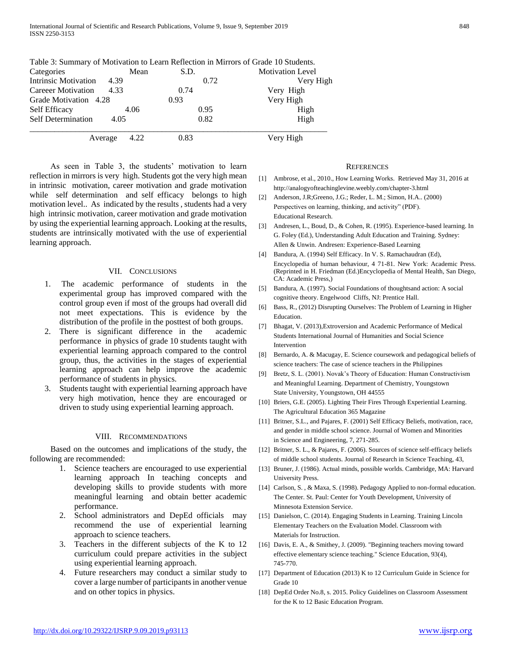|                             |      |      | Table 5. Summary of Mouvation to Ecarn Kencetion in Millions of Grade To Students. |  |  |
|-----------------------------|------|------|------------------------------------------------------------------------------------|--|--|
| Categories                  | Mean | S.D. | <b>Motivation Level</b>                                                            |  |  |
| <b>Intrinsic Motivation</b> | 4.39 | 0.72 | Very High                                                                          |  |  |
| <b>Careeer Motivation</b>   | 4.33 | 0.74 | Very High                                                                          |  |  |
| Grade Motivation 4.28       |      | 0.93 | Very High                                                                          |  |  |
| <b>Self Efficacy</b>        | 4.06 | 0.95 | High                                                                               |  |  |
| <b>Self Determination</b>   | 4.05 | 0.82 | High                                                                               |  |  |
| Average                     | 4.22 | 0.83 | Very High                                                                          |  |  |

Table 3: Summary of Motivation to Learn Reflection in Mirrors of Grade 10 Students.

 As seen in Table 3, the students' motivation to learn reflection in mirrors is very high. Students got the very high mean in intrinsic motivation, career motivation and grade motivation while self determination and self efficacy belongs to high motivation level.. As indicated by the results , students had a very high intrinsic motivation, career motivation and grade motivation by using the experiential learning approach. Looking at the results, students are intrinsically motivated with the use of experiential learning approach.

## VII. CONCLUSIONS

- 1. The academic performance of students in the experimental group has improved compared with the control group even if most of the groups had overall did not meet expectations. This is evidence by the distribution of the profile in the posttest of both groups.
- 2. There is significant difference in the academic performance in physics of grade 10 students taught with experiential learning approach compared to the control group, thus, the activities in the stages of experiential learning approach can help improve the academic performance of students in physics.
- 3. Students taught with experiential learning approach have very high motivation, hence they are encouraged or driven to study using experiential learning approach.

#### VIII. RECOMMENDATIONS

 Based on the outcomes and implications of the study, the following are recommended:

- 1. Science teachers are encouraged to use experiential learning approach In teaching concepts and developing skills to provide students with more meaningful learning and obtain better academic performance.
- 2. School administrators and DepEd officials may recommend the use of experiential learning approach to science teachers.
- 3. Teachers in the different subjects of the K to 12 curriculum could prepare activities in the subject using experiential learning approach.
- 4. Future researchers may conduct a similar study to cover a large number of participants in another venue and on other topics in physics.

#### **REFERENCES**

- [1] Ambrose, et al., 2010., How Learning Works. Retrieved May 31, 2016 at http://analogyofteachinglevine.weebly.com/chapter-3.html
- [2] Anderson, J.R;Greeno, J.G.; Reder, L. M.; Simon, H.A.. (2000) Perspectives on learning, thinking, and activity" (PDF). Educational Research.
- [3] Andresen, L., Boud, D., & Cohen, R. (1995). Experience-based learning. In G. Foley (Ed.), Understanding Adult Education and Training. Sydney: Allen & Unwin. Andresen: Experience-Based Learning
- [4] Bandura, A. (1994) Self Efficacy. In V. S. Ramachaudran (Ed), Encyclopedia of human behaviour, 4 71-81. New York: Academic Press. (Reprinted in H. Friedman (Ed.)Encyclopedia of Mental Health, San Diego, CA: Academic Press,)
- [5] Bandura, A. (1997). Social Foundations of thoughtsand action: A social cognitive theory. Engelwood Cliffs, NJ: Prentice Hall.
- [6] Bass, R., (2012) Disrupting Ourselves: The Problem of Learning in Higher **Education**
- [7] Bhagat, V. (2013),Extroversion and Academic Performance of Medical Students International Journal of Humanities and Social Science Intervention
- [8] Bernardo, A. & Macugay, E. Science coursework and pedagogical beliefs of science teachers: The case of science teachers in the Philippines
- [9] Bretz, S. L. (2001). Novak's Theory of Education: Human Constructivism and Meaningful Learning. Department of Chemistry, Youngstown State University, Youngstown, OH 44555
- [10] Briers, G.E. (2005). Lighting Their Fires Through Experiential Learning. The Agricultural Education 365 Magazine
- [11] Britner, S.L., and Pajares, F. (2001) Self Efficacy Beliefs, motivation, race, and gender in middle school science. Journal of Women and Minorities in Science and Engineering, 7, 271-285.
- [12] Britner, S. L., & Pajares, F. (2006). Sources of science self-efficacy beliefs of middle school students. Journal of Research in Science Teaching, 43,
- [13] Bruner, J. (1986). Actual minds, possible worlds. Cambridge, MA: Harvard University Press.
- [14] Carlson, S. , & Maxa, S. (1998). Pedagogy Applied to non-formal education. The Center. St. Paul: Center for Youth Development, University of Minnesota Extension Service.
- [15] Danielson, C. (2014). Engaging Students in Learning. Training Lincoln Elementary Teachers on the Evaluation Model. Classroom with Materials for Instruction.
- [16] Davis, E. A., & Smithey, J. (2009). "Beginning teachers moving toward effective elementary science teaching." Science Education, 93(4), 745-770.
- [17] Department of Education (2013) K to 12 Curriculum Guide in Science for Grade 10
- [18] DepEd Order No.8, s. 2015. Policy Guidelines on Classroom Assessment for the K to 12 Basic Education Program.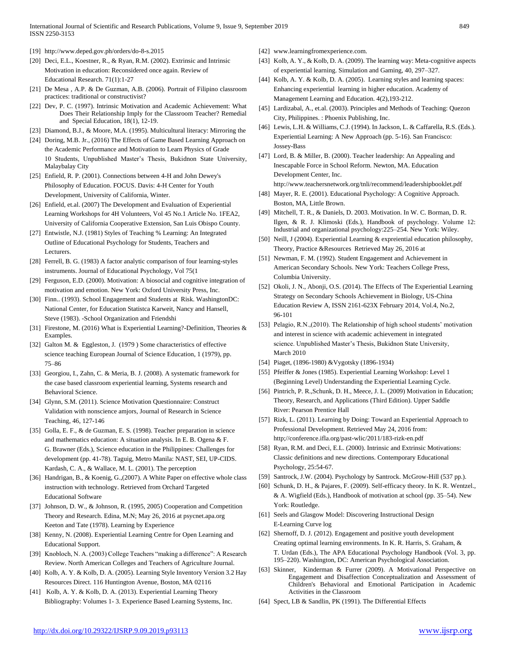International Journal of Scientific and Research Publications, Volume 9, Issue 9, September 2019 849 ISSN 2250-3153

- [19] http://www.deped.gov.ph/orders/do-8-s.2015
- [20] Deci, E.L., Koestner, R., & Ryan, R.M. (2002). Extrinsic and Intrinsic Motivation in education: Reconsidered once again. Review of Educational Research. 71(1):1-27
- [21] De Mesa , A.P. & De Guzman, A.B. (2006). Portrait of Filipino classroom practices: traditional or constructivist?
- [22] Dev, P. C. (1997). Intrinsic Motivation and Academic Achievement: What Does Their Relationship Imply for the Classroom Teacher? Remedial and Special Education, 18(1), 12-19.
- [23] Diamond, B.J., & Moore, M.A. (1995). Multicultural literacy: Mirroring the
- [24] Doring, M.B. Jr., (2016) The Effects of Game Based Learning Approach on the Academic Performance and Motivation to Learn Physics of Grade 10 Students, Unpublished Master's Thesis, Bukidnon State University, Malaybalay City
- [25] Enfield, R. P. (2001). Connections between 4-H and John Dewey's Philosophy of Education. FOCUS. Davis: 4-H Center for Youth Development, University of California, Winter.
- [26] Enfield, et.al. (2007) The Development and Evaluation of Experiential Learning Workshops for 4H Volunteers, Vol 45 No.1 Article No. 1FEA2, University of California Cooperative Extension, San Luis Obispo County.
- [27] Entwistle, N.J. (1981) Styles of Teaching % Learning: An Integrated Outline of Educational Psychology for Students, Teachers and Lecturers.
- [28] Ferrell, B. G. (1983) A factor analytic comparison of four learning-styles instruments. Journal of Educational Psychology, Vol 75(1
- [29] Ferguson, E.D. (2000). Motivation: A biosocial and cognitive integration of motivation and emotion. New York: Oxford University Press, Inc.
- [30] Finn.. (1993). School Engagement and Students at Risk. WashingtonDC: National Center, for Education Statistca Karweit, Nancy and Hansell, Steve (1983). -School Organization and Friendshi
- [31] Firestone, M. (2016) What is Experiential Learning?-Definition, Theories & Examples.
- [32] Galton M. & Eggleston, J. (1979) Some characteristics of effective science teaching European Journal of Science Education, 1 (1979), pp. 75–86
- [33] Georgiou, I., Zahn, C. & Meria, B. J. (2008). A systematic framework for the case based classroom experiential learning, Systems research and Behavioral Science.
- [34] Glynn, S.M. (2011). Science Motivation Questionnaire: Construct Validation with nonscience amjors, Journal of Research in Science Teaching, 46, 127-146
- [35] Golla, E. F., & de Guzman, E. S. (1998). Teacher preparation in science and mathematics education: A situation analysis. In E. B. Ogena & F. G. Brawner (Eds.), Science education in the Philippines: Challenges for development (pp. 41-78). Taguig, Metro Manila: NAST, SEI, UP-CIDS. Kardash, C. A., & Wallace, M. L. (2001). The perception
- [36] Handrigan, B., & Koenig, G.,(2007). A White Paper on effective whole class instruction with technology. Retrieved from Orchard Targeted Educational Software
- [37] Johnson, D. W., & Johnson, R. (1995, 2005) Cooperation and Competition Theory and Research. Edina, M.N; May 26, 2016 at psycnet.apa.org Keeton and Tate (1978). Learning by Experience
- [38] Kenny, N. (2008). Experiential Learning Centre for Open Learning and Educational Support.
- [39] Knobloch, N. A. (2003) College Teachers "making a difference": A Research Review. North American Colleges and Teachers of Agriculture Journal.
- [40] Kolb, A. Y. & Kolb, D. A. (2005). Learning Style Inventory Version 3.2 Hay Resources Direct. 116 Huntington Avenue, Boston, MA 02116
- [41] Kolb, A. Y. & Kolb, D. A. (2013). Experiential Learning Theory Bibliography: Volumes 1- 3. Experience Based Learning Systems, Inc.
- [42] www.learningfromexperience.com.
- [43] Kolb, A. Y., & Kolb, D. A. (2009). The learning way: Meta-cognitive aspects of experiential learning. Simulation and Gaming, 40, 297–327.
- [44] Kolb, A. Y. & Kolb, D. A. (2005). Learning styles and learning spaces: Enhancing experiential learning in higher education. Academy of Management Learning and Education. 4(2),193-212.
- [45] Lardizabal, A., et.al. (2003). Principles and Methods of Teaching: Quezon City, Philippines. : Phoenix Publishing, Inc.
- [46] Lewis, L.H. & Williams, C.J. (1994). In Jackson, L. & Caffarella, R.S. (Eds.). Experiential Learning: A New Approach (pp. 5-16). San Francisco: Jossey-Bass
- [47] Lord, B. & Miller, B. (2000). Teacher leadership: An Appealing and Inescapable Force in School Reform. Newton, MA. Education Development Center, Inc. http://www.teachersnetwork.org/tnli/recommend/leadershipbooklet.pdf
- [48] Mayer, R. E. (2001). Educational Psychology: A Cognitive Approach. Boston, MA, Little Brown.
- [49] Mitchell, T. R., & Daniels, D. 2003. Motivation. In W. C. Borman, D. R. Ilgen, & R. J. Klimoski (Eds.), Handbook of psychology. Volume 12: Industrial and organizational psychology:225–254. New York: Wiley.
- [50] Neill, J (2004). Experiential Learning & expreiential education philosophy, Theory, Practice &Resources Retrieved May 26, 2016 at
- [51] Newman, F. M. (1992). Student Engagement and Achievement in American Secondary Schools. New York: Teachers College Press, Columbia University.
- [52] Okoli, J. N., Abonji, O.S. (2014). The Effects of The Experiential Learning Strategy on Secondary Schools Achievement in Biology, US-China Education Review A, ISSN 2161-623X February 2014, Vol.4, No.2, 96-101
- [53] Pelagio, R.N.,(2010). The Relationship of high school students' motivation and interest in science with academic achievement in integrated science. Unpublished Master's Thesis, Bukidnon State University, March 2010
- [54] Piaget, (1896-1980) &Vygotsky (1896-1934)
- [55] Pfeiffer & Jones (1985). Experiential Learning Workshop: Level 1 (Beginning Level) Understanding the Experiential Learning Cycle.
- [56] Pintrich, P. R.,Schunk, D. H., Meece, J. L. (2009) Motivation in Education; Theory, Research, and Applications (Third Edition). Upper Saddle River: Pearson Prentice Hall
- [57] Rizk, L. (2011). Learning by Doing: Toward an Experiential Approach to Professional Development. Retrieved May 24, 2016 from: http;//conference.ifla.org/past-wlic/2011/183-rizk-en.pdf
- [58] Ryan, R.M. and Deci, E.L. (2000). Intrinsic and Extrinsic Motivations: Classic definitions and new directions. Contemporary Educational Psychology, 25:54-67.
- [59] Santrock, J.W. (2004). Psychology by Santrock. McGrow-Hill (537 pp.).
- [60] Schunk, D. H., & Pajares, F. (2009). Self-efficacy theory. In K. R. Wentzel., & A. Wigfield (Eds.), Handbook of motivation at school (pp. 35–54). New York: Routledge.
- [61] Seels and Glasgow Model: Discovering Instructional Design E-Learning Curve log
- [62] Shernoff, D. J. (2012). Engagement and positive youth development Creating optimal learning environments. In K. R. Harris, S. Graham, & T. Urdan (Eds.), The APA Educational Psychology Handbook (Vol. 3, pp. 195–220). Washington, DC: American Psychological Association.
- [63] Skinner, Kinderman & Furrer (2009). A Motivational Perspective on Engagement and Disaffection Conceptualization and Assessment of Children's Behavioral and Emotional Participation in Academic Activities in the Classroom
- [64] Spect, LB & Sandlin, PK (1991). The Differential Effects